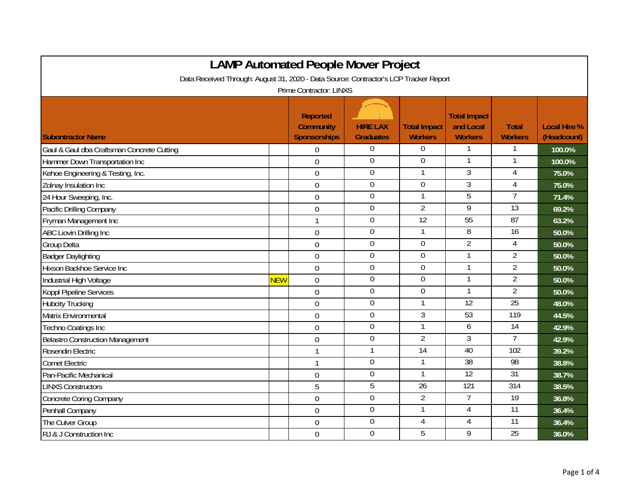| <b>LAMP Automated People Mover Project</b>                                                                              |            |                                                            |                                     |                                       |                                                    |                                |                                    |  |
|-------------------------------------------------------------------------------------------------------------------------|------------|------------------------------------------------------------|-------------------------------------|---------------------------------------|----------------------------------------------------|--------------------------------|------------------------------------|--|
| Data Received Through: August 31, 2020 - Data Source: Contractor's LCP Tracker Report<br><b>Prime Contractor: LINXS</b> |            |                                                            |                                     |                                       |                                                    |                                |                                    |  |
| <b>Subontractor Name</b>                                                                                                |            | <b>Reported</b><br><b>Community</b><br><b>Sponsorships</b> | <b>HIRE LAX</b><br><b>Graduates</b> | <b>Total Impact</b><br><b>Workers</b> | <b>Total Impact</b><br>and Local<br><b>Workers</b> | <b>Total</b><br><b>Workers</b> | <b>Local Hire %</b><br>(Headcount) |  |
| Gaul & Gaul dba Craftsman Concrete Cutting                                                                              |            | $\mathbf 0$                                                | 0                                   | 0                                     | 1                                                  | -1                             | 100.0%                             |  |
| Hammer Down Transportation Inc                                                                                          |            | $\overline{0}$                                             | $\overline{0}$                      | 0                                     | $\mathbf{1}$                                       |                                | 100.0%                             |  |
| Kehoe Engineering & Testing, Inc.                                                                                       |            | $\mathbf 0$                                                | $\boldsymbol{0}$                    | 1                                     | $\overline{3}$                                     | $\overline{4}$                 | 75.0%                              |  |
| Zolnay Insulation Inc                                                                                                   |            | $\mathbf 0$                                                | $\overline{0}$                      | $\overline{0}$                        | $\overline{3}$                                     | $\overline{4}$                 | 75.0%                              |  |
| 24 Hour Sweeping, Inc.                                                                                                  |            | $\mathbf 0$                                                | $\overline{0}$                      | 1                                     | $\overline{5}$                                     | 7                              | 71.4%                              |  |
| Pacific Drilling Company                                                                                                |            | $\mathbf 0$                                                | $\mathbf 0$                         | $\overline{2}$                        | 9                                                  | $\overline{13}$                | 69.2%                              |  |
| Fryman Management Inc                                                                                                   |            | $\mathbf{1}$                                               | $\mathbf 0$                         | 12                                    | 55                                                 | 87                             | 63.2%                              |  |
| ABC Liovin Drilling Inc                                                                                                 |            | $\mathbf 0$                                                | $\mathbf 0$                         | 1                                     | 8                                                  | 16                             | 50.0%                              |  |
| Group Delta                                                                                                             |            | $\mathbf 0$                                                | $\mathbf 0$                         | $\mathbf 0$                           | $\overline{2}$                                     | $\overline{4}$                 | 50.0%                              |  |
| <b>Badger Daylighting</b>                                                                                               |            | $\mathbf 0$                                                | $\mathbf 0$                         | $\overline{0}$                        | $\mathbf{1}$                                       | $\overline{2}$                 | 50.0%                              |  |
| Hixson Backhoe Service Inc                                                                                              |            | $\mathbf 0$                                                | $\mathbf 0$                         | 0                                     | $\mathbf{1}$                                       | $\overline{2}$                 | 50.0%                              |  |
| Industrial High Voltage                                                                                                 | <b>NEW</b> | $\mathbf 0$                                                | $\mathbf 0$                         | 0                                     | 1                                                  | $\overline{2}$                 | 50.0%                              |  |
| Koppl Pipeline Services                                                                                                 |            | $\overline{0}$                                             | $\mathbf 0$                         | $\mathbf 0$                           | $\mathbf{1}$                                       | $\overline{2}$                 | 50.0%                              |  |
| <b>Hubcity Trucking</b>                                                                                                 |            | $\overline{0}$                                             | $\overline{0}$                      | $\mathbf{1}$                          | $\overline{12}$                                    | $\overline{25}$                | 48.0%                              |  |
| Matrix Environmental                                                                                                    |            | $\mathbf 0$                                                | $\overline{0}$                      | 3                                     | 53                                                 | 119                            | 44.5%                              |  |
| Techno Coatings Inc                                                                                                     |            | $\mathbf 0$                                                | $\boldsymbol{0}$                    | 1                                     | 6                                                  | $\overline{14}$                | 42.9%                              |  |
| <b>Belastro Construction Management</b>                                                                                 |            | $\overline{0}$                                             | $\overline{0}$                      | $\overline{2}$                        | $\overline{3}$                                     | $\overline{1}$                 | 42.9%                              |  |
| Rosendin Electric                                                                                                       |            | $\mathbf{1}$                                               | 1                                   | $\overline{14}$                       | 40                                                 | 102                            | 39.2%                              |  |
| <b>Comet Electric</b>                                                                                                   |            | 1                                                          | $\mathbf 0$                         | 1                                     | $\overline{38}$                                    | 98                             | 38.8%                              |  |
| Pan-Pacific Mechanical                                                                                                  |            | $\mathbf 0$                                                | $\overline{0}$                      | 1                                     | 12                                                 | 31                             | 38.7%                              |  |
| <b>LINXS Constructors</b>                                                                                               |            | 5                                                          | $\overline{5}$                      | $\overline{26}$                       | 121                                                | 314                            | 38.5%                              |  |
| <b>Concrete Coring Company</b>                                                                                          |            | $\mathbf 0$                                                | $\boldsymbol{0}$                    | $\overline{2}$                        | $\overline{7}$                                     | $\overline{19}$                | 36.8%                              |  |
| Penhall Company                                                                                                         |            | $\overline{0}$                                             | 0                                   | 1                                     | 4                                                  | $\overline{11}$                | 36.4%                              |  |
| The Culver Group                                                                                                        |            | $\mathbf 0$                                                | $\mathbf 0$                         | $\overline{4}$                        | $\overline{4}$                                     | $\overline{11}$                | 36.4%                              |  |
| RJ & J Construction Inc                                                                                                 |            | $\overline{0}$                                             | $\mathbf 0$                         | 5                                     | 9                                                  | 25                             | 36.0%                              |  |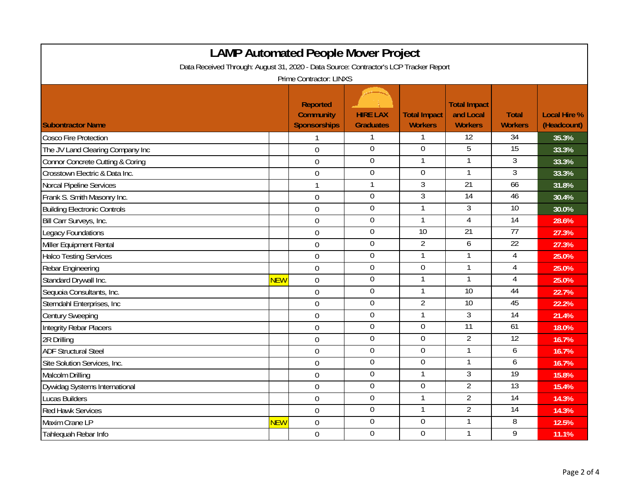| <b>LAMP Automated People Mover Project</b>                                            |            |                                                            |                                     |                                       |                                                    |                                |                                    |  |
|---------------------------------------------------------------------------------------|------------|------------------------------------------------------------|-------------------------------------|---------------------------------------|----------------------------------------------------|--------------------------------|------------------------------------|--|
| Data Received Through: August 31, 2020 - Data Source: Contractor's LCP Tracker Report |            |                                                            |                                     |                                       |                                                    |                                |                                    |  |
| Prime Contractor: LINXS                                                               |            |                                                            |                                     |                                       |                                                    |                                |                                    |  |
| <b>Subontractor Name</b>                                                              |            | <b>Reported</b><br><b>Community</b><br><b>Sponsorships</b> | <b>HIRE LAX</b><br><b>Graduates</b> | <b>Total Impact</b><br><b>Workers</b> | <b>Total Impact</b><br>and Local<br><b>Workers</b> | <b>Total</b><br><b>Workers</b> | <b>Local Hire %</b><br>(Headcount) |  |
| <b>Cosco Fire Protection</b>                                                          |            | 1                                                          | 1                                   |                                       | 12                                                 | 34                             | 35.3%                              |  |
| The JV Land Clearing Company Inc                                                      |            | $\overline{0}$                                             | $\mathbf 0$                         | $\mathbf 0$                           | 5                                                  | $\overline{15}$                | 33.3%                              |  |
| Connor Concrete Cutting & Coring                                                      |            | $\mathbf 0$                                                | $\overline{0}$                      |                                       | 1                                                  | $\overline{3}$                 | 33.3%                              |  |
| Crosstown Electric & Data Inc.                                                        |            | $\mathbf 0$                                                | $\mathbf 0$                         | $\boldsymbol{0}$                      | 1                                                  | 3                              | 33.3%                              |  |
| Norcal Pipeline Services                                                              |            | 1                                                          | $\mathbf{1}$                        | $\overline{3}$                        | 21                                                 | 66                             | 31.8%                              |  |
| Frank S. Smith Masonry Inc.                                                           |            | $\mathbf 0$                                                | $\overline{0}$                      | $\overline{3}$                        | $\overline{14}$                                    | 46                             | 30.4%                              |  |
| <b>Building Electronic Controls</b>                                                   |            | $\mathbf 0$                                                | $\boldsymbol{0}$                    | 1                                     | 3                                                  | $\overline{10}$                | 30.0%                              |  |
| Bill Carr Surveys, Inc.                                                               |            | $\mathbf 0$                                                | $\overline{0}$                      | 1                                     | $\overline{4}$                                     | $\overline{14}$                | 28.6%                              |  |
| Legacy Foundations                                                                    |            | $\mathbf 0$                                                | $\mathbf 0$                         | 10                                    | 21                                                 | 77                             | 27.3%                              |  |
| Miller Equipment Rental                                                               |            | $\overline{0}$                                             | $\mathbf 0$                         | $\overline{2}$                        | 6                                                  | 22                             | 27.3%                              |  |
| <b>Halco Testing Services</b>                                                         |            | $\mathbf 0$                                                | $\boldsymbol{0}$                    | 1                                     | 1                                                  | 4                              | 25.0%                              |  |
| Rebar Engineering                                                                     |            | $\mathbf 0$                                                | $\mathbf 0$                         | $\boldsymbol{0}$                      | 1                                                  | $\overline{4}$                 | 25.0%                              |  |
| Standard Drywall Inc.                                                                 | <b>NEW</b> | $\mathbf 0$                                                | $\boldsymbol{0}$                    | 1                                     | 1                                                  | 4                              | 25.0%                              |  |
| Sequoia Consultants, Inc.                                                             |            | $\overline{0}$                                             | $\mathbf 0$                         | 1                                     | 10                                                 | 44                             | 22.7%                              |  |
| Sterndahl Enterprises, Inc.                                                           |            | $\overline{0}$                                             | $\overline{0}$                      | $\overline{2}$                        | 10                                                 | 45                             | 22.2%                              |  |
| <b>Century Sweeping</b>                                                               |            | $\mathbf 0$                                                | $\overline{0}$                      |                                       | $\overline{3}$                                     | $\overline{14}$                | 21.4%                              |  |
| Integrity Rebar Placers                                                               |            | $\overline{0}$                                             | $\mathbf 0$                         | $\mathbf 0$                           | 11                                                 | 61                             | 18.0%                              |  |
| 2R Drilling                                                                           |            | $\mathbf 0$                                                | $\overline{0}$                      | $\boldsymbol{0}$                      | $\overline{2}$                                     | $\overline{12}$                | 16.7%                              |  |
| <b>ADF Structural Steel</b>                                                           |            | $\overline{0}$                                             | $\mathbf 0$                         | 0                                     | 1                                                  | 6                              | 16.7%                              |  |
| Site Solution Services, Inc.                                                          |            | $\boldsymbol{0}$                                           | $\overline{0}$                      | $\overline{0}$                        | 1                                                  | 6                              | 16.7%                              |  |
| Malcolm Drilling                                                                      |            | $\mathbf 0$                                                | $\overline{0}$                      | 1                                     | $\overline{3}$                                     | 19                             | 15.8%                              |  |
| Dywidag Systems International                                                         |            | $\boldsymbol{0}$                                           | $\mathbf 0$                         | $\overline{0}$                        | $\overline{2}$                                     | $\overline{13}$                | 15.4%                              |  |
| Lucas Builders                                                                        |            | $\overline{0}$                                             | $\overline{0}$                      | 1                                     | $\overline{2}$                                     | 14                             | 14.3%                              |  |
| <b>Red Hawk Services</b>                                                              |            | $\mathbf 0$                                                | $\mathbf 0$                         | 1                                     | $\overline{2}$                                     | $\overline{14}$                | 14.3%                              |  |
| Maxim Crane LP                                                                        | <b>NEW</b> | $\mathbf 0$                                                | $\mathbf 0$                         | $\mathbf 0$                           |                                                    | 8                              | 12.5%                              |  |
| Tahlequah Rebar Info                                                                  |            | $\mathbf 0$                                                | $\mathbf 0$                         | $\mathbf 0$                           | 1                                                  | 9                              | 11.1%                              |  |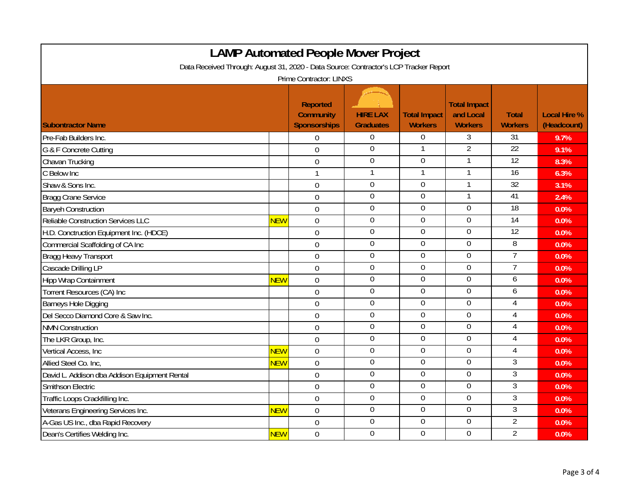| <b>LAMP Automated People Mover Project</b>                                            |            |                                                            |                                     |                                       |                                                    |                                |                                    |  |  |
|---------------------------------------------------------------------------------------|------------|------------------------------------------------------------|-------------------------------------|---------------------------------------|----------------------------------------------------|--------------------------------|------------------------------------|--|--|
| Data Received Through: August 31, 2020 - Data Source: Contractor's LCP Tracker Report |            |                                                            |                                     |                                       |                                                    |                                |                                    |  |  |
| Prime Contractor: LINXS                                                               |            |                                                            |                                     |                                       |                                                    |                                |                                    |  |  |
| <b>Subontractor Name</b>                                                              |            | <b>Reported</b><br><b>Community</b><br><b>Sponsorships</b> | <b>HIRE LAX</b><br><b>Graduates</b> | <b>Total Impact</b><br><b>Workers</b> | <b>Total Impact</b><br>and Local<br><b>Workers</b> | <b>Total</b><br><b>Workers</b> | <b>Local Hire %</b><br>(Headcount) |  |  |
| Pre-Fab Builders Inc.                                                                 |            | $\Omega$                                                   | $\boldsymbol{0}$                    | $\boldsymbol{0}$                      | 3                                                  | $\overline{31}$                | 9.7%                               |  |  |
| G & F Concrete Cutting                                                                |            | $\overline{0}$                                             | $\mathbf 0$                         | 1                                     | $\overline{2}$                                     | 22                             | 9.1%                               |  |  |
| Chavan Trucking                                                                       |            | $\overline{0}$                                             | $\mathbf 0$                         | $\mathbf 0$                           | 1                                                  | $\overline{12}$                | 8.3%                               |  |  |
| C Below Inc                                                                           |            | $\mathbf{1}$                                               | $\mathbf{1}$                        | $\overline{1}$                        | 1                                                  | 16                             | 6.3%                               |  |  |
| Shaw & Sons Inc.                                                                      |            | $\mathbf 0$                                                | $\boldsymbol{0}$                    | $\boldsymbol{0}$                      | 1                                                  | $\overline{32}$                | 3.1%                               |  |  |
| <b>Bragg Crane Service</b>                                                            |            | $\mathbf 0$                                                | $\overline{0}$                      | $\boldsymbol{0}$                      | 1                                                  | 41                             | 2.4%                               |  |  |
| <b>Baryeh Construction</b>                                                            |            | $\overline{0}$                                             | $\boldsymbol{0}$                    | $\boldsymbol{0}$                      | $\boldsymbol{0}$                                   | 18                             | 0.0%                               |  |  |
| <b>Reliable Construction Services LLC</b>                                             | <b>NEW</b> | $\overline{0}$                                             | $\overline{0}$                      | $\overline{0}$                        | $\mathbf 0$                                        | 14                             | 0.0%                               |  |  |
| H.D. Conctruction Equipment Inc. (HDCE)                                               |            | $\mathbf 0$                                                | $\mathbf 0$                         | $\mathbf 0$                           | $\mathbf 0$                                        | 12                             | 0.0%                               |  |  |
| Commercial Scaffolding of CA Inc                                                      |            | $\mathbf 0$                                                | $\mathbf 0$                         | $\mathbf 0$                           | $\mathbf 0$                                        | 8                              | 0.0%                               |  |  |
| Bragg Heavy Transport                                                                 |            | $\overline{0}$                                             | $\mathbf 0$                         | $\overline{0}$                        | $\mathbf 0$                                        | $\overline{7}$                 | 0.0%                               |  |  |
| Cascade Drilling LP                                                                   |            | $\overline{0}$                                             | $\mathbf 0$                         | $\mathbf 0$                           | $\mathbf 0$                                        | $\overline{7}$                 | 0.0%                               |  |  |
| <b>Hipp Wrap Containment</b>                                                          | <b>NEW</b> | $\mathbf 0$                                                | $\mathbf 0$                         | $\mathbf 0$                           | $\mathbf 0$                                        | 6                              | 0.0%                               |  |  |
| Torrent Resources (CA) Inc                                                            |            | $\mathbf 0$                                                | $\mathbf 0$                         | $\mathbf 0$                           | $\boldsymbol{0}$                                   | 6                              | 0.0%                               |  |  |
| <b>Barneys Hole Digging</b>                                                           |            | $\overline{0}$                                             | $\mathbf 0$                         | $\overline{0}$                        | $\mathbf 0$                                        | $\overline{4}$                 | 0.0%                               |  |  |
| Del Secco Diamond Core & Saw Inc.                                                     |            | $\mathbf 0$                                                | $\overline{0}$                      | $\overline{0}$                        | $\mathbf 0$                                        | $\overline{4}$                 | 0.0%                               |  |  |
| <b>NMN Construction</b>                                                               |            | $\mathbf 0$                                                | $\overline{0}$                      | $\overline{0}$                        | $\boldsymbol{0}$                                   | $\overline{4}$                 | 0.0%                               |  |  |
| The LKR Group, Inc.                                                                   |            | $\overline{0}$                                             | $\mathbf 0$                         | $\mathbf 0$                           | $\mathbf 0$                                        | 4                              | 0.0%                               |  |  |
| Vertical Access, Inc.                                                                 | <b>NEW</b> | $\overline{0}$                                             | $\overline{0}$                      | $\overline{0}$                        | $\mathbf 0$                                        | $\overline{4}$                 | 0.0%                               |  |  |
| Allied Steel Co. Inc.                                                                 | <b>NEW</b> | $\mathbf 0$                                                | $\overline{0}$                      | $\mathbf 0$                           | $\mathbf 0$                                        | $\overline{3}$                 | 0.0%                               |  |  |
| David L. Addison dba Addison Equipment Rental                                         |            | $\mathbf 0$                                                | $\overline{0}$                      | $\boldsymbol{0}$                      | $\boldsymbol{0}$                                   | $\overline{3}$                 | 0.0%                               |  |  |
| Smithson Electric                                                                     |            | $\overline{0}$                                             | $\mathbf 0$                         | $\mathbf 0$                           | $\boldsymbol{0}$                                   | 3                              | 0.0%                               |  |  |
| Traffic Loops Crackfilling Inc.                                                       |            | $\overline{0}$                                             | $\overline{0}$                      | $\overline{0}$                        | $\mathbf 0$                                        | 3                              | 0.0%                               |  |  |
| Veterans Engineering Services Inc.                                                    | <b>NEW</b> | $\overline{0}$                                             | $\overline{0}$                      | $\overline{0}$                        | $\overline{0}$                                     | $\overline{3}$                 | 0.0%                               |  |  |
| A-Gas US Inc., dba Rapid Recovery                                                     |            | $\mathbf 0$                                                | $\mathbf 0$                         | $\overline{0}$                        | $\boldsymbol{0}$                                   | $\overline{2}$                 | 0.0%                               |  |  |
| Dean's Certifies Welding Inc.                                                         | <b>NEW</b> | $\overline{0}$                                             | $\overline{0}$                      | $\mathbf 0$                           | $\mathbf 0$                                        | $\overline{2}$                 | 0.0%                               |  |  |

Г

┑